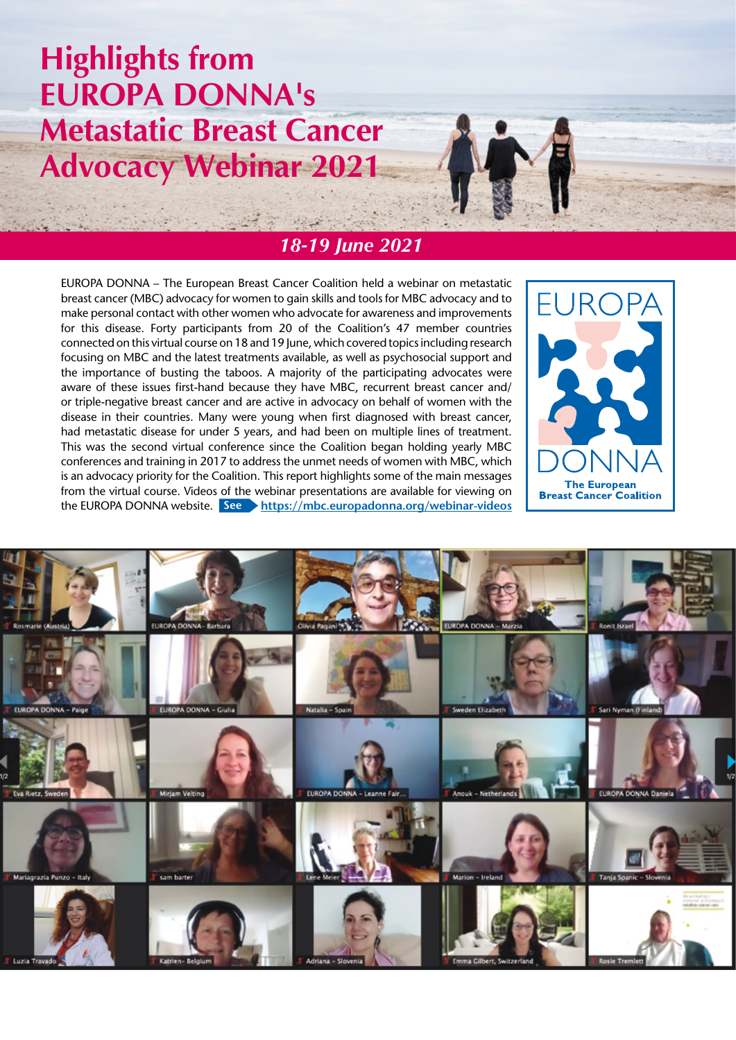# **Highlights from EUROPA DONNA's Metastatic Breast Cancer Advocacy Webinar 2021**



# *18-19 June 2021*

EUROPA DONNA – The European Breast Cancer Coalition held a webinar on metastatic breast cancer (MBC) advocacy for women to gain skills and tools for MBC advocacy and to make personal contact with other women who advocate for awareness and improvements for this disease. Forty participants from 20 of the Coalition's 47 member countries connected on this virtual course on 18 and 19 June, which covered topics including research focusing on MBC and the latest treatments available, as well as psychosocial support and the importance of busting the taboos. A majority of the participating advocates were aware of these issues first-hand because they have MBC, recurrent breast cancer and/ or triple-negative breast cancer and are active in advocacy on behalf of women with the disease in their countries. Many were young when first diagnosed with breast cancer, had metastatic disease for under 5 years, and had been on multiple lines of treatment. This was the second virtual conference since the Coalition began holding yearly MBC conferences and training in 2017 to address the unmet needs of women with MBC, which is an advocacy priority for the Coalition. This report highlights some of the main messages from the virtual course. Videos of the webinar presentations are available for viewing on the EUROPA DONNA website. **See https://mbc.europadonna.org/webinar-videos** 



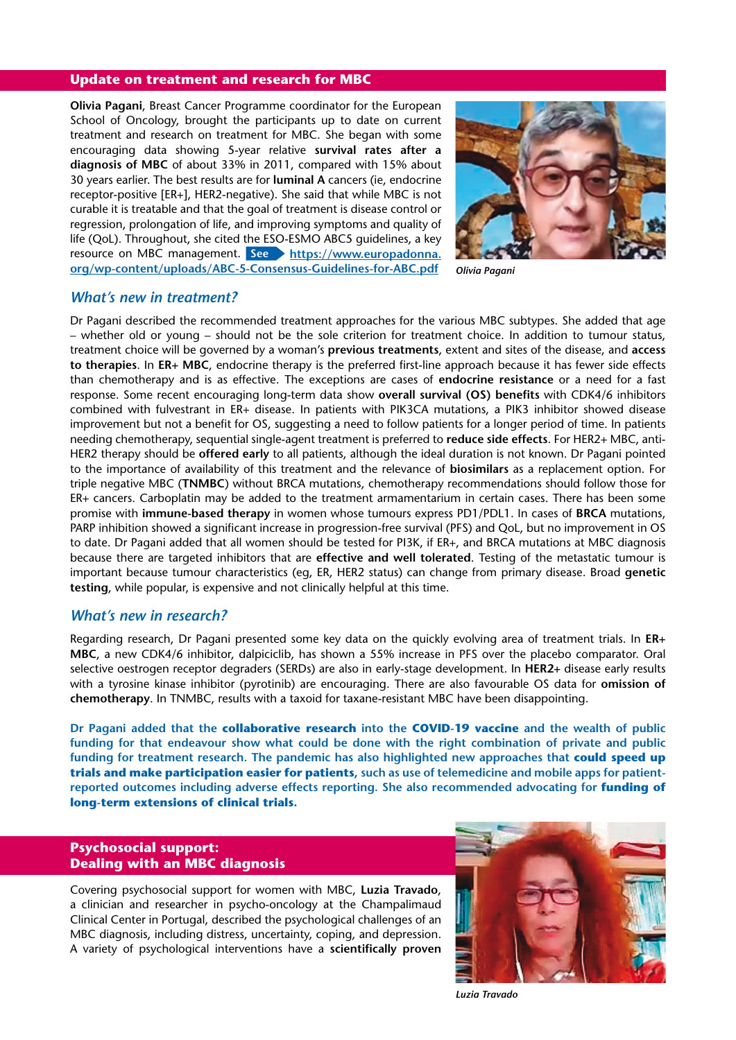#### **Update on treatment and research for MBC**

**Olivia Pagani**, Breast Cancer Programme coordinator for the European School of Oncology, brought the participants up to date on current treatment and research on treatment for MBC. She began with some encouraging data showing 5-year relative **survival rates after a diagnosis of MBC** of about 33% in 2011, compared with 15% about 30 years earlier. The best results are for **luminal A** cancers (ie, endocrine receptor-positive [ER+], HER2-negative). She said that while MBC is not curable it is treatable and that the goal of treatment is disease control or regression, prolongation of life, and improving symptoms and quality of life (QoL). Throughout, she cited the ESO-ESMO ABC5 guidelines, a key resource on MBC management. **See https://www.europadonna. org/wp-content/uploads/ABC-5-Consensus-Guidelines-for-ABC.pdf**



*Olivia Pagani*

#### *What's new in treatment?*

Dr Pagani described the recommended treatment approaches for the various MBC subtypes. She added that age – whether old or young – should not be the sole criterion for treatment choice. In addition to tumour status, treatment choice will be governed by a woman's **previous treatments**, extent and sites of the disease, and **access to therapies**. In **ER+ MBC**, endocrine therapy is the preferred first-line approach because it has fewer side effects than chemotherapy and is as effective. The exceptions are cases of **endocrine resistance** or a need for a fast response. Some recent encouraging long-term data show **overall survival (OS) benefits** with CDK4/6 inhibitors combined with fulvestrant in ER+ disease. In patients with PIK3CA mutations, a PIK3 inhibitor showed disease improvement but not a benefit for OS, suggesting a need to follow patients for a longer period of time. In patients needing chemotherapy, sequential single-agent treatment is preferred to **reduce side effects**. For HER2+ MBC, anti-HER2 therapy should be **offered early** to all patients, although the ideal duration is not known. Dr Pagani pointed to the importance of availability of this treatment and the relevance of **biosimilars** as a replacement option. For triple negative MBC (**TNMBC**) without BRCA mutations, chemotherapy recommendations should follow those for ER+ cancers. Carboplatin may be added to the treatment armamentarium in certain cases. There has been some promise with **immune-based therapy** in women whose tumours express PD1/PDL1. In cases of **BRCA** mutations, PARP inhibition showed a significant increase in progression-free survival (PFS) and QoL, but no improvement in OS to date. Dr Pagani added that all women should be tested for PI3K, if ER+, and BRCA mutations at MBC diagnosis because there are targeted inhibitors that are **effective and well tolerated**. Testing of the metastatic tumour is important because tumour characteristics (eg, ER, HER2 status) can change from primary disease. Broad **genetic testing**, while popular, is expensive and not clinically helpful at this time.

#### *What's new in research?*

Regarding research, Dr Pagani presented some key data on the quickly evolving area of treatment trials. In **ER+ MBC**, a new CDK4/6 inhibitor, dalpiciclib, has shown a 55% increase in PFS over the placebo comparator. Oral selective oestrogen receptor degraders (SERDs) are also in early-stage development. In **HER2+** disease early results with a tyrosine kinase inhibitor (pyrotinib) are encouraging. There are also favourable OS data for **omission of chemotherapy**. In TNMBC, results with a taxoid for taxane-resistant MBC have been disappointing.

**Dr Pagani added that the collaborative research into the COVID-19 vaccine and the wealth of public funding for that endeavour show what could be done with the right combination of private and public funding for treatment research. The pandemic has also highlighted new approaches that could speed up trials and make participation easier for patients, such as use of telemedicine and mobile apps for patientreported outcomes including adverse effects reporting. She also recommended advocating for funding of long-term extensions of clinical trials.**

# **Psychosocial support: Dealing with an MBC diagnosis**

Covering psychosocial support for women with MBC, **Luzia Travado**, a clinician and researcher in psycho-oncology at the Champalimaud Clinical Center in Portugal, described the psychological challenges of an MBC diagnosis, including distress, uncertainty, coping, and depression. A variety of psychological interventions have a **scientifically proven** 



*Luzia Travado*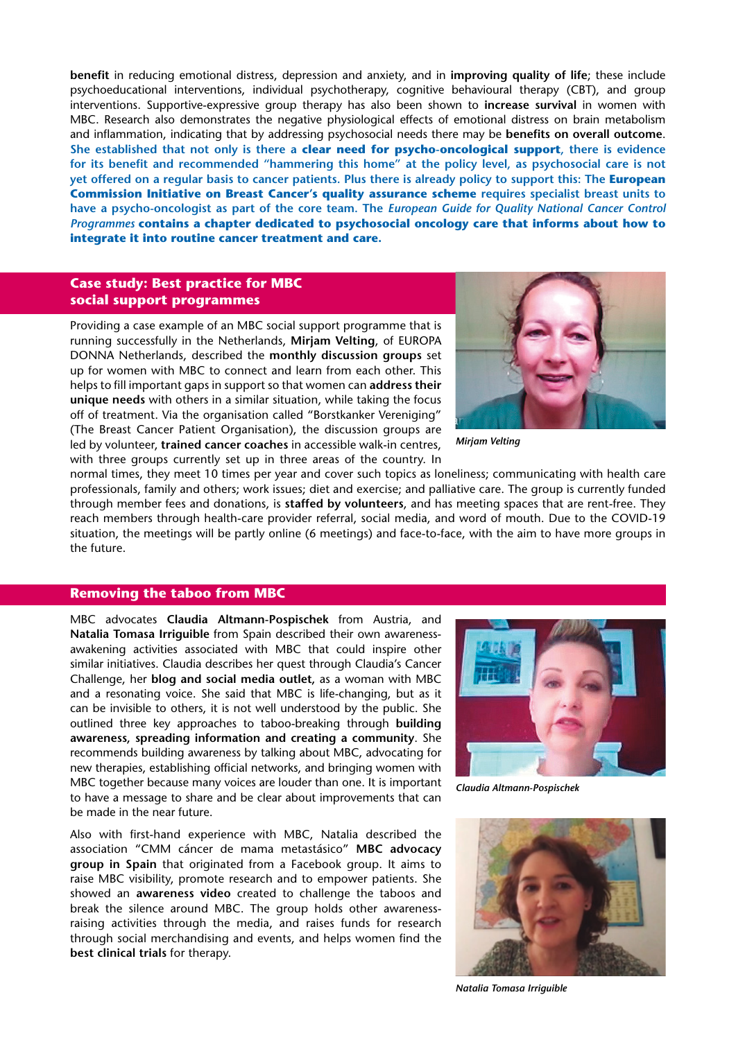**benefit** in reducing emotional distress, depression and anxiety, and in **improving quality of life**; these include psychoeducational interventions, individual psychotherapy, cognitive behavioural therapy (CBT), and group interventions. Supportive-expressive group therapy has also been shown to **increase survival** in women with MBC. Research also demonstrates the negative physiological effects of emotional distress on brain metabolism and inflammation, indicating that by addressing psychosocial needs there may be **benefits on overall outcome**. **She established that not only is there a clear need for psycho-oncological support, there is evidence for its benefit and recommended "hammering this home" at the policy level, as psychosocial care is not yet offered on a regular basis to cancer patients. Plus there is already policy to support this: The European Commission Initiative on Breast Cancer's quality assurance scheme requires specialist breast units to have a psycho-oncologist as part of the core team. The** *European Guide for Quality National Cancer Control Programmes* **contains a chapter dedicated to psychosocial oncology care that informs about how to integrate it into routine cancer treatment and care.**

#### **Case study: Best practice for MBC social support programmes**

Providing a case example of an MBC social support programme that is running successfully in the Netherlands, **Mirjam Velting**, of EUROPA DONNA Netherlands, described the **monthly discussion groups** set up for women with MBC to connect and learn from each other. This helps to fill important gaps in support so that women can **address their unique needs** with others in a similar situation, while taking the focus off of treatment. Via the organisation called "Borstkanker Vereniging" (The Breast Cancer Patient Organisation), the discussion groups are led by volunteer, **trained cancer coaches** in accessible walk-in centres, with three groups currently set up in three areas of the country. In



*Mirjam Velting*

normal times, they meet 10 times per year and cover such topics as loneliness; communicating with health care professionals, family and others; work issues; diet and exercise; and palliative care. The group is currently funded through member fees and donations, is **staffed by volunteers**, and has meeting spaces that are rent-free. They reach members through health-care provider referral, social media, and word of mouth. Due to the COVID-19 situation, the meetings will be partly online (6 meetings) and face-to-face, with the aim to have more groups in the future.

#### **Removing the taboo from MBC**

MBC advocates **Claudia Altmann-Pospischek** from Austria, and **Natalia Tomasa Irriguible** from Spain described their own awarenessawakening activities associated with MBC that could inspire other similar initiatives. Claudia describes her quest through Claudia's Cancer Challenge, her **blog and social media outlet,** as a woman with MBC and a resonating voice. She said that MBC is life-changing, but as it can be invisible to others, it is not well understood by the public. She outlined three key approaches to taboo-breaking through **building awareness, spreading information and creating a community**. She recommends building awareness by talking about MBC, advocating for new therapies, establishing official networks, and bringing women with MBC together because many voices are louder than one. It is important to have a message to share and be clear about improvements that can be made in the near future.

Also with first-hand experience with MBC, Natalia described the association "CMM cáncer de mama metastásico" **MBC advocacy group in Spain** that originated from a Facebook group. It aims to raise MBC visibility, promote research and to empower patients. She showed an **awareness video** created to challenge the taboos and break the silence around MBC. The group holds other awarenessraising activities through the media, and raises funds for research through social merchandising and events, and helps women find the **best clinical trials** for therapy.



*Claudia Altmann-Pospischek*



*Natalia Tomasa Irriguible*